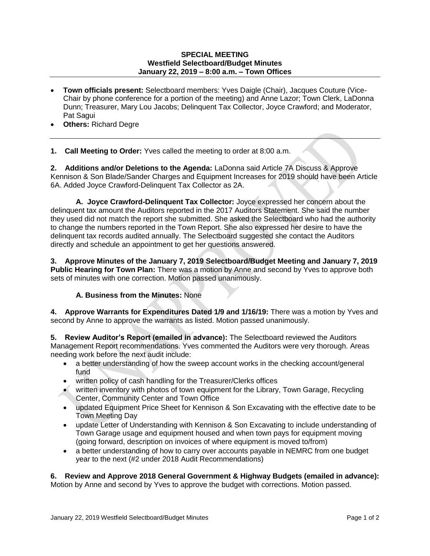## **SPECIAL MEETING Westfield Selectboard/Budget Minutes January 22, 2019 – 8:00 a.m. – Town Offices**

- **Town officials present:** Selectboard members: Yves Daigle (Chair), Jacques Couture (Vice-Chair by phone conference for a portion of the meeting) and Anne Lazor; Town Clerk, LaDonna Dunn; Treasurer, Mary Lou Jacobs; Delinquent Tax Collector, Joyce Crawford; and Moderator, Pat Sagui
- **Others:** Richard Degre

**1. Call Meeting to Order:** Yves called the meeting to order at 8:00 a.m.

**2. Additions and/or Deletions to the Agenda:** LaDonna said Article 7A Discuss & Approve Kennison & Son Blade/Sander Charges and Equipment Increases for 2019 should have been Article 6A. Added Joyce Crawford-Delinquent Tax Collector as 2A.

**A. Joyce Crawford-Delinquent Tax Collector:** Joyce expressed her concern about the delinquent tax amount the Auditors reported in the 2017 Auditors Statement. She said the number they used did not match the report she submitted. She asked the Selectboard who had the authority to change the numbers reported in the Town Report. She also expressed her desire to have the delinquent tax records audited annually. The Selectboard suggested she contact the Auditors directly and schedule an appointment to get her questions answered.

**3. Approve Minutes of the January 7, 2019 Selectboard/Budget Meeting and January 7, 2019 Public Hearing for Town Plan:** There was a motion by Anne and second by Yves to approve both sets of minutes with one correction. Motion passed unanimously.

## **A. Business from the Minutes:** None

**4. Approve Warrants for Expenditures Dated 1/9 and 1/16/19:** There was a motion by Yves and second by Anne to approve the warrants as listed. Motion passed unanimously.

**5. Review Auditor's Report (emailed in advance):** The Selectboard reviewed the Auditors Management Report recommendations. Yves commented the Auditors were very thorough. Areas needing work before the next audit include:

- a better understanding of how the sweep account works in the checking account/general fund
- written policy of cash handling for the Treasurer/Clerks offices
- written inventory with photos of town equipment for the Library, Town Garage, Recycling Center, Community Center and Town Office
- updated Equipment Price Sheet for Kennison & Son Excavating with the effective date to be Town Meeting Day
- update Letter of Understanding with Kennison & Son Excavating to include understanding of Town Garage usage and equipment housed and when town pays for equipment moving (going forward, description on invoices of where equipment is moved to/from)
- a better understanding of how to carry over accounts payable in NEMRC from one budget year to the next (#2 under 2018 Audit Recommendations)

**6. Review and Approve 2018 General Government & Highway Budgets (emailed in advance):** Motion by Anne and second by Yves to approve the budget with corrections. Motion passed.